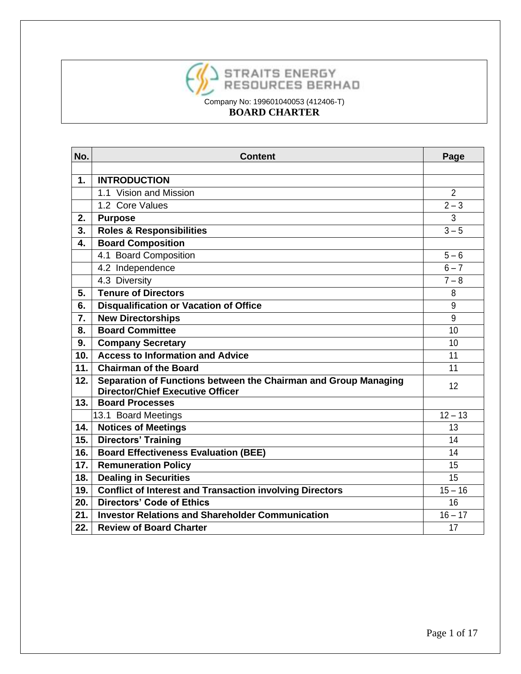

| No.               | <b>Content</b>                                                  | Page           |
|-------------------|-----------------------------------------------------------------|----------------|
|                   |                                                                 |                |
| $\mathbf 1$       | <b>INTRODUCTION</b>                                             |                |
|                   | 1.1 Vision and Mission                                          | $\overline{2}$ |
|                   | 1.2 Core Values                                                 | $2 - 3$        |
| 2.                | <b>Purpose</b>                                                  | 3              |
| 3.                | <b>Roles &amp; Responsibilities</b>                             | $3 - 5$        |
| 4.                | <b>Board Composition</b>                                        |                |
|                   | 4.1 Board Composition                                           | $5 - 6$        |
|                   | 4.2 Independence                                                | $6 - 7$        |
|                   | 4.3 Diversity                                                   | $7 - 8$        |
| 5.                | <b>Tenure of Directors</b>                                      | 8              |
| 6.                | <b>Disqualification or Vacation of Office</b>                   | 9              |
| 7.                | <b>New Directorships</b>                                        | 9              |
| 8.                | <b>Board Committee</b>                                          | 10             |
| 9.                | <b>Company Secretary</b>                                        | 10             |
| 10.               | <b>Access to Information and Advice</b>                         | 11             |
| 11.               | <b>Chairman of the Board</b>                                    | 11             |
| 12.               | Separation of Functions between the Chairman and Group Managing | 12             |
|                   | <b>Director/Chief Executive Officer</b>                         |                |
| 13.               | <b>Board Processes</b>                                          |                |
|                   | 13.1 Board Meetings                                             | $12 - 13$      |
| 14.               | <b>Notices of Meetings</b>                                      | 13             |
| 15.               | <b>Directors' Training</b>                                      | 14             |
| $\overline{16}$ . | <b>Board Effectiveness Evaluation (BEE)</b>                     | 14             |
| 17.               | <b>Remuneration Policy</b>                                      | 15             |
| 18.               | <b>Dealing in Securities</b>                                    | 15             |
| 19.               | <b>Conflict of Interest and Transaction involving Directors</b> | $15 - 16$      |
| 20.               | <b>Directors' Code of Ethics</b>                                | 16             |
| 21.               | <b>Investor Relations and Shareholder Communication</b>         | $16 - 17$      |
| 22.               | <b>Review of Board Charter</b>                                  | 17             |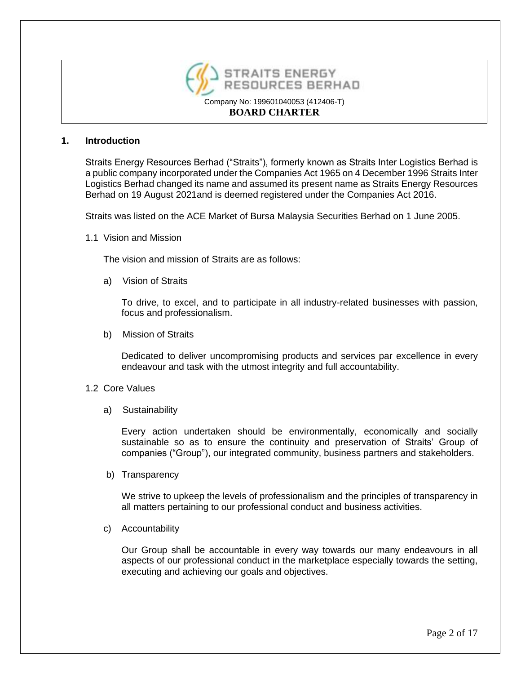

### **1. Introduction**

Straits Energy Resources Berhad ("Straits"), formerly known as Straits Inter Logistics Berhad is a public company incorporated under the Companies Act 1965 on 4 December 1996 Straits Inter Logistics Berhad changed its name and assumed its present name as Straits Energy Resources Berhad on 19 August 2021and is deemed registered under the Companies Act 2016.

Straits was listed on the ACE Market of Bursa Malaysia Securities Berhad on 1 June 2005.

1.1 Vision and Mission

The vision and mission of Straits are as follows:

a) Vision of Straits

To drive, to excel, and to participate in all industry-related businesses with passion, focus and professionalism.

b) Mission of Straits

Dedicated to deliver uncompromising products and services par excellence in every endeavour and task with the utmost integrity and full accountability.

#### 1.2 Core Values

a) Sustainability

Every action undertaken should be environmentally, economically and socially sustainable so as to ensure the continuity and preservation of Straits' Group of companies ("Group"), our integrated community, business partners and stakeholders.

b) Transparency

We strive to upkeep the levels of professionalism and the principles of transparency in all matters pertaining to our professional conduct and business activities.

c) Accountability

Our Group shall be accountable in every way towards our many endeavours in all aspects of our professional conduct in the marketplace especially towards the setting, executing and achieving our goals and objectives.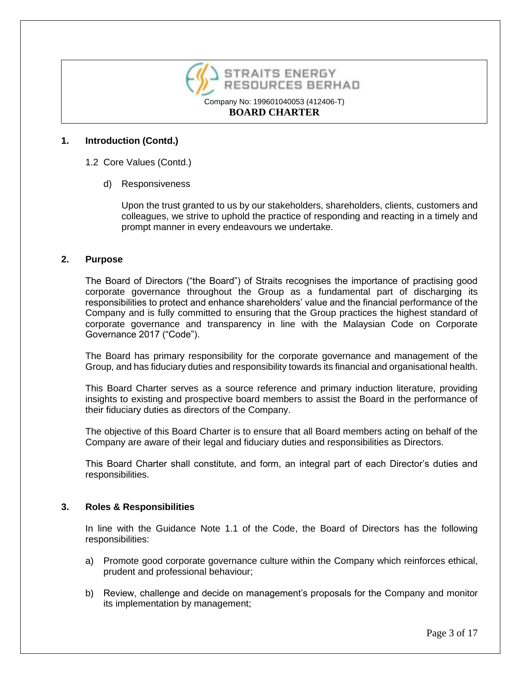

## **1. Introduction (Contd.)**

- 1.2 Core Values (Contd.)
	- d) Responsiveness

Upon the trust granted to us by our stakeholders, shareholders, clients, customers and colleagues, we strive to uphold the practice of responding and reacting in a timely and prompt manner in every endeavours we undertake.

### **2. Purpose**

The Board of Directors ("the Board") of Straits recognises the importance of practising good corporate governance throughout the Group as a fundamental part of discharging its responsibilities to protect and enhance shareholders' value and the financial performance of the Company and is fully committed to ensuring that the Group practices the highest standard of corporate governance and transparency in line with the Malaysian Code on Corporate Governance 2017 ("Code").

The Board has primary responsibility for the corporate governance and management of the Group, and has fiduciary duties and responsibility towards its financial and organisational health.

This Board Charter serves as a source reference and primary induction literature, providing insights to existing and prospective board members to assist the Board in the performance of their fiduciary duties as directors of the Company.

The objective of this Board Charter is to ensure that all Board members acting on behalf of the Company are aware of their legal and fiduciary duties and responsibilities as Directors.

This Board Charter shall constitute, and form, an integral part of each Director's duties and responsibilities.

### **3. Roles & Responsibilities**

In line with the Guidance Note 1.1 of the Code, the Board of Directors has the following responsibilities:

- a) Promote good corporate governance culture within the Company which reinforces ethical, prudent and professional behaviour;
- b) Review, challenge and decide on management's proposals for the Company and monitor its implementation by management;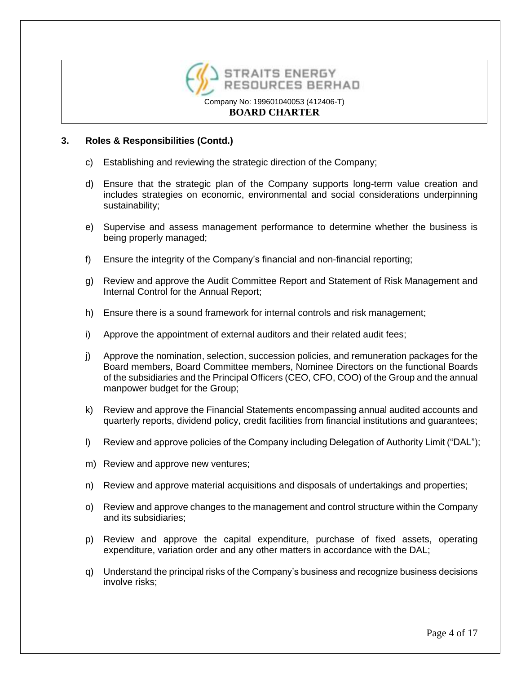

## **3. Roles & Responsibilities (Contd.)**

- c) Establishing and reviewing the strategic direction of the Company;
- d) Ensure that the strategic plan of the Company supports long-term value creation and includes strategies on economic, environmental and social considerations underpinning sustainability;
- e) Supervise and assess management performance to determine whether the business is being properly managed;
- f) Ensure the integrity of the Company's financial and non-financial reporting;
- g) Review and approve the Audit Committee Report and Statement of Risk Management and Internal Control for the Annual Report;
- h) Ensure there is a sound framework for internal controls and risk management;
- i) Approve the appointment of external auditors and their related audit fees;
- j) Approve the nomination, selection, succession policies, and remuneration packages for the Board members, Board Committee members, Nominee Directors on the functional Boards of the subsidiaries and the Principal Officers (CEO, CFO, COO) of the Group and the annual manpower budget for the Group;
- k) Review and approve the Financial Statements encompassing annual audited accounts and quarterly reports, dividend policy, credit facilities from financial institutions and guarantees;
- l) Review and approve policies of the Company including Delegation of Authority Limit ("DAL");
- m) Review and approve new ventures;
- n) Review and approve material acquisitions and disposals of undertakings and properties;
- o) Review and approve changes to the management and control structure within the Company and its subsidiaries;
- p) Review and approve the capital expenditure, purchase of fixed assets, operating expenditure, variation order and any other matters in accordance with the DAL;
- q) Understand the principal risks of the Company's business and recognize business decisions involve risks;

Page 4 of 17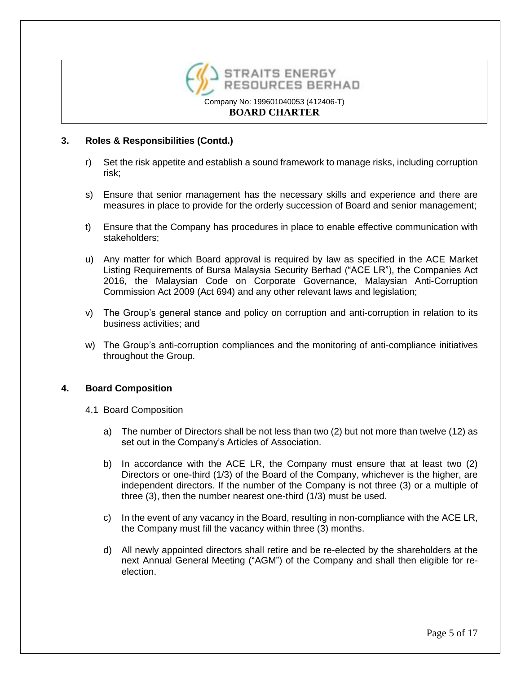

## **3. Roles & Responsibilities (Contd.)**

- r) Set the risk appetite and establish a sound framework to manage risks, including corruption risk;
- s) Ensure that senior management has the necessary skills and experience and there are measures in place to provide for the orderly succession of Board and senior management;
- t) Ensure that the Company has procedures in place to enable effective communication with stakeholders;
- u) Any matter for which Board approval is required by law as specified in the ACE Market Listing Requirements of Bursa Malaysia Security Berhad ("ACE LR"), the Companies Act 2016, the Malaysian Code on Corporate Governance, Malaysian Anti-Corruption Commission Act 2009 (Act 694) and any other relevant laws and legislation;
- v) The Group's general stance and policy on corruption and anti-corruption in relation to its business activities; and
- w) The Group's anti-corruption compliances and the monitoring of anti-compliance initiatives throughout the Group.

### **4. Board Composition**

- 4.1 Board Composition
	- a) The number of Directors shall be not less than two (2) but not more than twelve (12) as set out in the Company's Articles of Association.
	- b) In accordance with the ACE LR, the Company must ensure that at least two (2) Directors or one-third (1/3) of the Board of the Company, whichever is the higher, are independent directors. If the number of the Company is not three (3) or a multiple of three (3), then the number nearest one-third (1/3) must be used.
	- c) In the event of any vacancy in the Board, resulting in non-compliance with the ACE LR, the Company must fill the vacancy within three (3) months.
	- d) All newly appointed directors shall retire and be re-elected by the shareholders at the next Annual General Meeting ("AGM") of the Company and shall then eligible for reelection.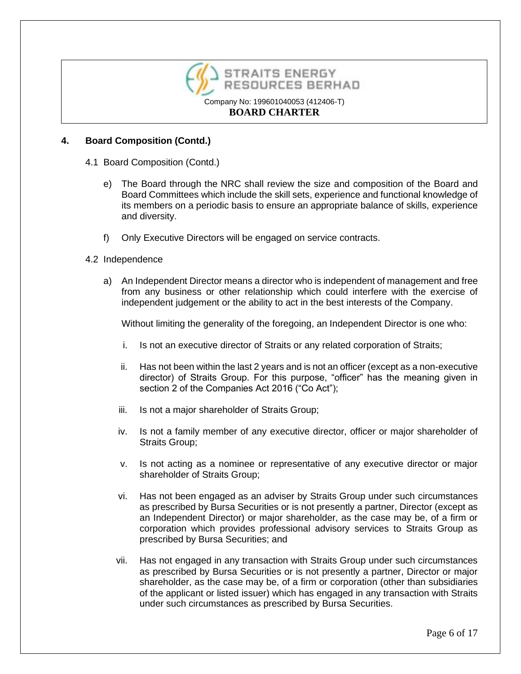

## **4. Board Composition (Contd.)**

- 4.1 Board Composition (Contd.)
	- e) The Board through the NRC shall review the size and composition of the Board and Board Committees which include the skill sets, experience and functional knowledge of its members on a periodic basis to ensure an appropriate balance of skills, experience and diversity.
	- f) Only Executive Directors will be engaged on service contracts.

### 4.2 Independence

a) An Independent Director means a director who is independent of management and free from any business or other relationship which could interfere with the exercise of independent judgement or the ability to act in the best interests of the Company.

Without limiting the generality of the foregoing, an Independent Director is one who:

- i. Is not an executive director of Straits or any related corporation of Straits;
- ii. Has not been within the last 2 years and is not an officer (except as a non-executive director) of Straits Group. For this purpose, "officer" has the meaning given in section 2 of the Companies Act 2016 ("Co Act");
- iii. Is not a major shareholder of Straits Group;
- iv. Is not a family member of any executive director, officer or major shareholder of Straits Group;
- v. Is not acting as a nominee or representative of any executive director or major shareholder of Straits Group;
- vi. Has not been engaged as an adviser by Straits Group under such circumstances as prescribed by Bursa Securities or is not presently a partner, Director (except as an Independent Director) or major shareholder, as the case may be, of a firm or corporation which provides professional advisory services to Straits Group as prescribed by Bursa Securities; and
- vii. Has not engaged in any transaction with Straits Group under such circumstances as prescribed by Bursa Securities or is not presently a partner, Director or major shareholder, as the case may be, of a firm or corporation (other than subsidiaries of the applicant or listed issuer) which has engaged in any transaction with Straits under such circumstances as prescribed by Bursa Securities.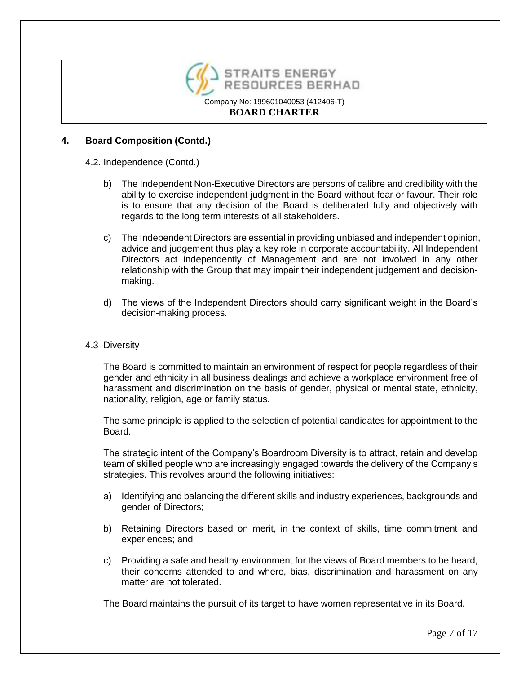

## **4. Board Composition (Contd.)**

### 4.2. Independence (Contd.)

- b) The Independent Non-Executive Directors are persons of calibre and credibility with the ability to exercise independent judgment in the Board without fear or favour. Their role is to ensure that any decision of the Board is deliberated fully and objectively with regards to the long term interests of all stakeholders.
- c) The Independent Directors are essential in providing unbiased and independent opinion, advice and judgement thus play a key role in corporate accountability. All Independent Directors act independently of Management and are not involved in any other relationship with the Group that may impair their independent judgement and decisionmaking.
- d) The views of the Independent Directors should carry significant weight in the Board's decision-making process.

### 4.3 Diversity

The Board is committed to maintain an environment of respect for people regardless of their gender and ethnicity in all business dealings and achieve a workplace environment free of harassment and discrimination on the basis of gender, physical or mental state, ethnicity, nationality, religion, age or family status.

The same principle is applied to the selection of potential candidates for appointment to the Board.

The strategic intent of the Company's Boardroom Diversity is to attract, retain and develop team of skilled people who are increasingly engaged towards the delivery of the Company's strategies. This revolves around the following initiatives:

- a) Identifying and balancing the different skills and industry experiences, backgrounds and gender of Directors;
- b) Retaining Directors based on merit, in the context of skills, time commitment and experiences; and
- c) Providing a safe and healthy environment for the views of Board members to be heard, their concerns attended to and where, bias, discrimination and harassment on any matter are not tolerated.

The Board maintains the pursuit of its target to have women representative in its Board.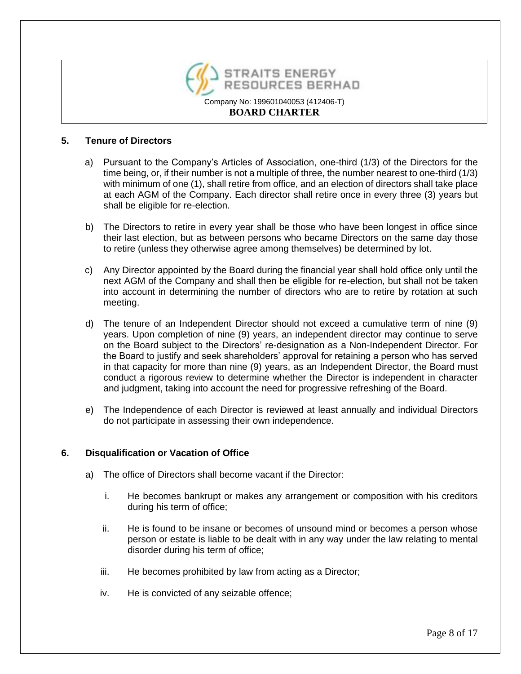

## **5. Tenure of Directors**

- a) Pursuant to the Company's Articles of Association, one-third (1/3) of the Directors for the time being, or, if their number is not a multiple of three, the number nearest to one-third (1/3) with minimum of one (1), shall retire from office, and an election of directors shall take place at each AGM of the Company. Each director shall retire once in every three (3) years but shall be eligible for re-election.
- b) The Directors to retire in every year shall be those who have been longest in office since their last election, but as between persons who became Directors on the same day those to retire (unless they otherwise agree among themselves) be determined by lot.
- c) Any Director appointed by the Board during the financial year shall hold office only until the next AGM of the Company and shall then be eligible for re-election, but shall not be taken into account in determining the number of directors who are to retire by rotation at such meeting.
- d) The tenure of an Independent Director should not exceed a cumulative term of nine (9) years. Upon completion of nine (9) years, an independent director may continue to serve on the Board subject to the Directors' re-designation as a Non-Independent Director. For the Board to justify and seek shareholders' approval for retaining a person who has served in that capacity for more than nine (9) years, as an Independent Director, the Board must conduct a rigorous review to determine whether the Director is independent in character and judgment, taking into account the need for progressive refreshing of the Board.
- e) The Independence of each Director is reviewed at least annually and individual Directors do not participate in assessing their own independence.

## **6. Disqualification or Vacation of Office**

- a) The office of Directors shall become vacant if the Director:
	- i. He becomes bankrupt or makes any arrangement or composition with his creditors during his term of office;
	- ii. He is found to be insane or becomes of unsound mind or becomes a person whose person or estate is liable to be dealt with in any way under the law relating to mental disorder during his term of office;
	- iii. He becomes prohibited by law from acting as a Director;
	- iv. He is convicted of any seizable offence;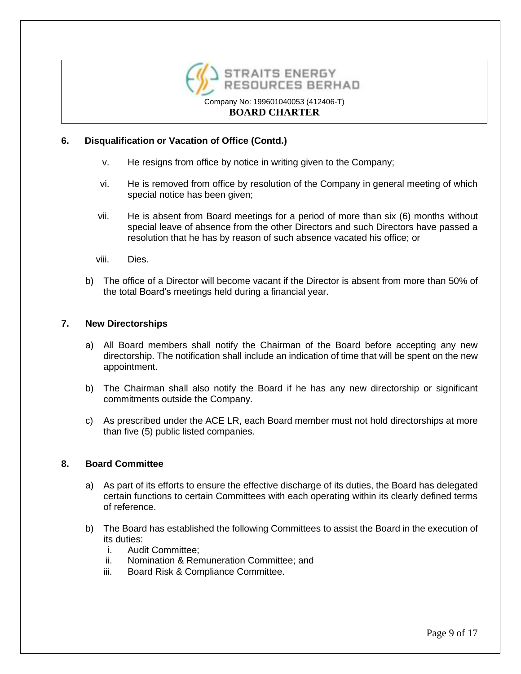

# **6. Disqualification or Vacation of Office (Contd.)**

- v. He resigns from office by notice in writing given to the Company;
- vi. He is removed from office by resolution of the Company in general meeting of which special notice has been given;
- vii. He is absent from Board meetings for a period of more than six (6) months without special leave of absence from the other Directors and such Directors have passed a resolution that he has by reason of such absence vacated his office; or
- viii. Dies.
- b) The office of a Director will become vacant if the Director is absent from more than 50% of the total Board's meetings held during a financial year.

## **7. New Directorships**

- a) All Board members shall notify the Chairman of the Board before accepting any new directorship. The notification shall include an indication of time that will be spent on the new appointment.
- b) The Chairman shall also notify the Board if he has any new directorship or significant commitments outside the Company.
- c) As prescribed under the ACE LR, each Board member must not hold directorships at more than five (5) public listed companies.

## **8. Board Committee**

- a) As part of its efforts to ensure the effective discharge of its duties, the Board has delegated certain functions to certain Committees with each operating within its clearly defined terms of reference.
- b) The Board has established the following Committees to assist the Board in the execution of its duties:
	- i. Audit Committee;
	- ii. Nomination & Remuneration Committee; and
	- iii. Board Risk & Compliance Committee.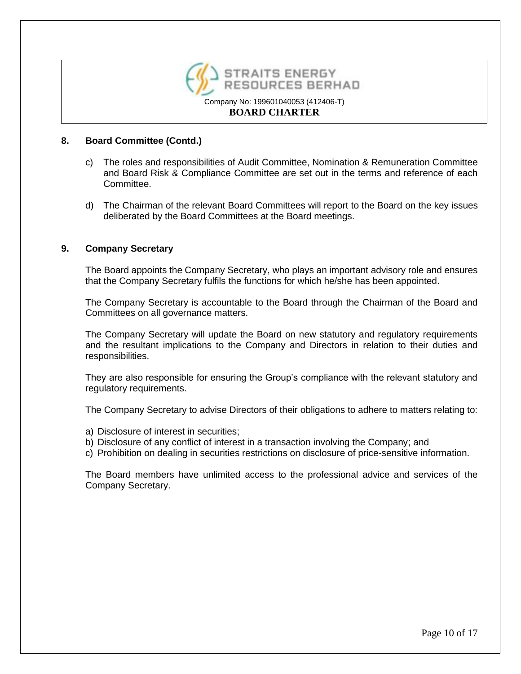

## **8. Board Committee (Contd.)**

- c) The roles and responsibilities of Audit Committee, Nomination & Remuneration Committee and Board Risk & Compliance Committee are set out in the terms and reference of each Committee.
- d) The Chairman of the relevant Board Committees will report to the Board on the key issues deliberated by the Board Committees at the Board meetings.

## **9. Company Secretary**

The Board appoints the Company Secretary, who plays an important advisory role and ensures that the Company Secretary fulfils the functions for which he/she has been appointed.

The Company Secretary is accountable to the Board through the Chairman of the Board and Committees on all governance matters.

The Company Secretary will update the Board on new statutory and regulatory requirements and the resultant implications to the Company and Directors in relation to their duties and responsibilities.

They are also responsible for ensuring the Group's compliance with the relevant statutory and regulatory requirements.

The Company Secretary to advise Directors of their obligations to adhere to matters relating to:

- a) Disclosure of interest in securities;
- b) Disclosure of any conflict of interest in a transaction involving the Company; and
- c) Prohibition on dealing in securities restrictions on disclosure of price-sensitive information.

The Board members have unlimited access to the professional advice and services of the Company Secretary.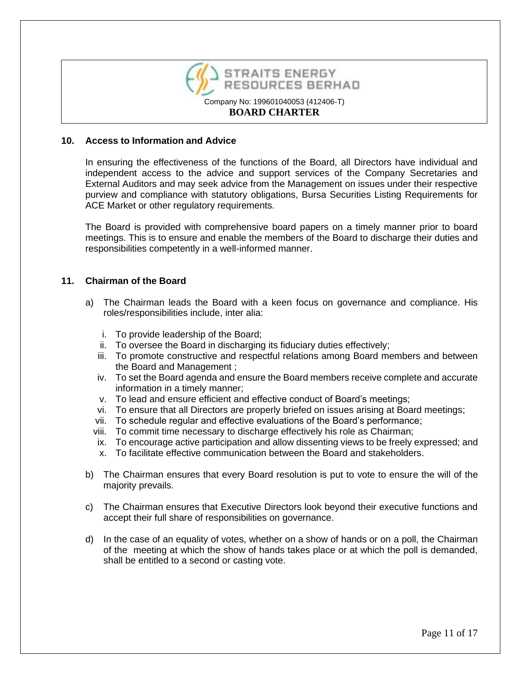

### **10. Access to Information and Advice**

In ensuring the effectiveness of the functions of the Board, all Directors have individual and independent access to the advice and support services of the Company Secretaries and External Auditors and may seek advice from the Management on issues under their respective purview and compliance with statutory obligations, Bursa Securities Listing Requirements for ACE Market or other regulatory requirements.

The Board is provided with comprehensive board papers on a timely manner prior to board meetings. This is to ensure and enable the members of the Board to discharge their duties and responsibilities competently in a well-informed manner.

### **11. Chairman of the Board**

- a) The Chairman leads the Board with a keen focus on governance and compliance. His roles/responsibilities include, inter alia:
	- i. To provide leadership of the Board;
	- ii. To oversee the Board in discharging its fiduciary duties effectively;
	- iii. To promote constructive and respectful relations among Board members and between the Board and Management ;
	- iv. To set the Board agenda and ensure the Board members receive complete and accurate information in a timely manner;
	- v. To lead and ensure efficient and effective conduct of Board's meetings;
	- vi. To ensure that all Directors are properly briefed on issues arising at Board meetings;
	- vii. To schedule regular and effective evaluations of the Board's performance;
	- viii. To commit time necessary to discharge effectively his role as Chairman;
	- ix. To encourage active participation and allow dissenting views to be freely expressed; and
	- x. To facilitate effective communication between the Board and stakeholders.
- b) The Chairman ensures that every Board resolution is put to vote to ensure the will of the majority prevails.
- c) The Chairman ensures that Executive Directors look beyond their executive functions and accept their full share of responsibilities on governance.
- d) In the case of an equality of votes, whether on a show of hands or on a poll, the Chairman of the meeting at which the show of hands takes place or at which the poll is demanded, shall be entitled to a second or casting vote.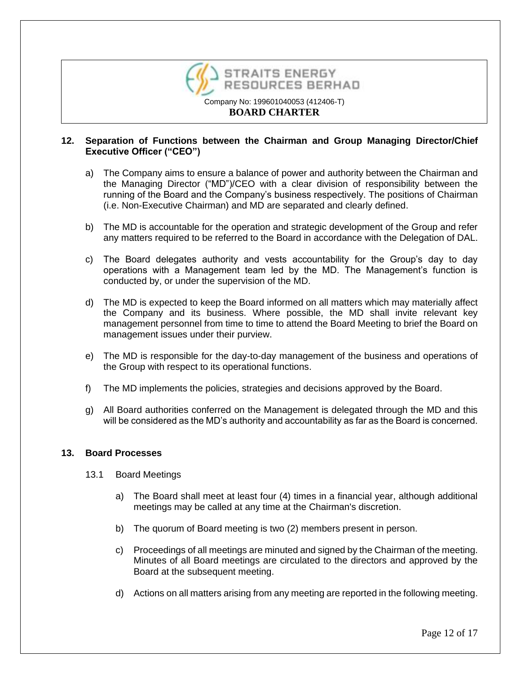

## **12. Separation of Functions between the Chairman and Group Managing Director/Chief Executive Officer ("CEO")**

- a) The Company aims to ensure a balance of power and authority between the Chairman and the Managing Director ("MD")/CEO with a clear division of responsibility between the running of the Board and the Company's business respectively. The positions of Chairman (i.e. Non-Executive Chairman) and MD are separated and clearly defined.
- b) The MD is accountable for the operation and strategic development of the Group and refer any matters required to be referred to the Board in accordance with the Delegation of DAL.
- c) The Board delegates authority and vests accountability for the Group's day to day operations with a Management team led by the MD. The Management's function is conducted by, or under the supervision of the MD.
- d) The MD is expected to keep the Board informed on all matters which may materially affect the Company and its business. Where possible, the MD shall invite relevant key management personnel from time to time to attend the Board Meeting to brief the Board on management issues under their purview.
- e) The MD is responsible for the day-to-day management of the business and operations of the Group with respect to its operational functions.
- f) The MD implements the policies, strategies and decisions approved by the Board.
- g) All Board authorities conferred on the Management is delegated through the MD and this will be considered as the MD's authority and accountability as far as the Board is concerned.

### **13. Board Processes**

- 13.1 Board Meetings
	- a) The Board shall meet at least four (4) times in a financial year, although additional meetings may be called at any time at the Chairman's discretion.
	- b) The quorum of Board meeting is two (2) members present in person.
	- c) Proceedings of all meetings are minuted and signed by the Chairman of the meeting. Minutes of all Board meetings are circulated to the directors and approved by the Board at the subsequent meeting.
	- d) Actions on all matters arising from any meeting are reported in the following meeting.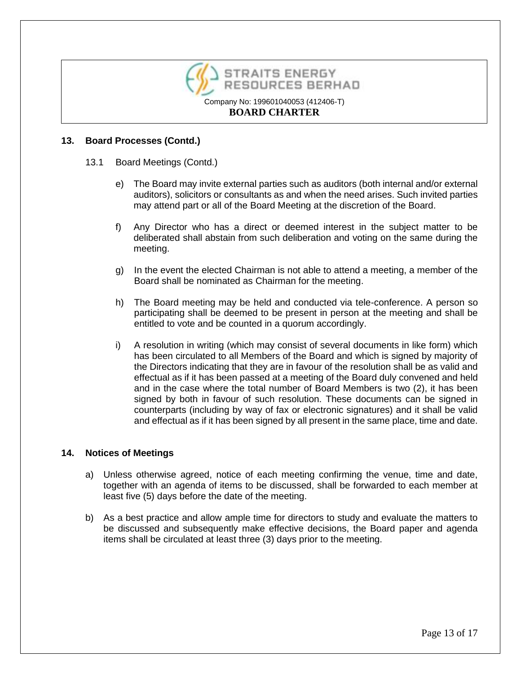

## **13. Board Processes (Contd.)**

- 13.1 Board Meetings (Contd.)
	- e) The Board may invite external parties such as auditors (both internal and/or external auditors), solicitors or consultants as and when the need arises. Such invited parties may attend part or all of the Board Meeting at the discretion of the Board.
	- f) Any Director who has a direct or deemed interest in the subject matter to be deliberated shall abstain from such deliberation and voting on the same during the meeting.
	- g) In the event the elected Chairman is not able to attend a meeting, a member of the Board shall be nominated as Chairman for the meeting.
	- h) The Board meeting may be held and conducted via tele-conference. A person so participating shall be deemed to be present in person at the meeting and shall be entitled to vote and be counted in a quorum accordingly.
	- i) A resolution in writing (which may consist of several documents in like form) which has been circulated to all Members of the Board and which is signed by majority of the Directors indicating that they are in favour of the resolution shall be as valid and effectual as if it has been passed at a meeting of the Board duly convened and held and in the case where the total number of Board Members is two (2), it has been signed by both in favour of such resolution. These documents can be signed in counterparts (including by way of fax or electronic signatures) and it shall be valid and effectual as if it has been signed by all present in the same place, time and date.

### **14. Notices of Meetings**

- a) Unless otherwise agreed, notice of each meeting confirming the venue, time and date, together with an agenda of items to be discussed, shall be forwarded to each member at least five (5) days before the date of the meeting.
- b) As a best practice and allow ample time for directors to study and evaluate the matters to be discussed and subsequently make effective decisions, the Board paper and agenda items shall be circulated at least three (3) days prior to the meeting.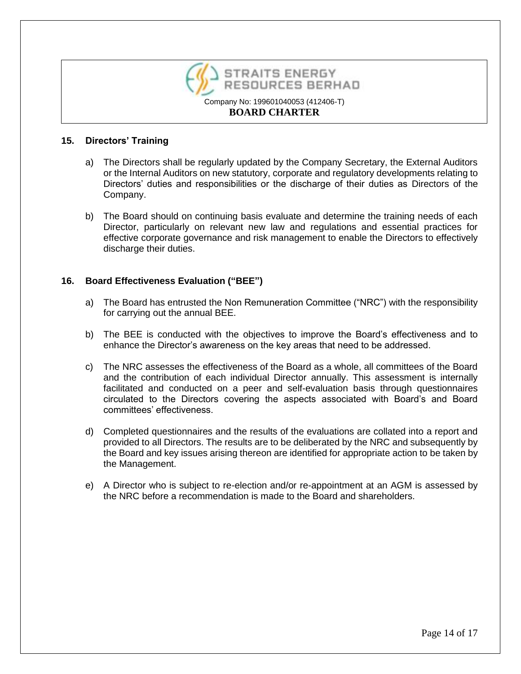

### **15. Directors' Training**

- a) The Directors shall be regularly updated by the Company Secretary, the External Auditors or the Internal Auditors on new statutory, corporate and regulatory developments relating to Directors' duties and responsibilities or the discharge of their duties as Directors of the Company.
- b) The Board should on continuing basis evaluate and determine the training needs of each Director, particularly on relevant new law and regulations and essential practices for effective corporate governance and risk management to enable the Directors to effectively discharge their duties.

## **16. Board Effectiveness Evaluation ("BEE")**

- a) The Board has entrusted the Non Remuneration Committee ("NRC") with the responsibility for carrying out the annual BEE.
- b) The BEE is conducted with the objectives to improve the Board's effectiveness and to enhance the Director's awareness on the key areas that need to be addressed.
- c) The NRC assesses the effectiveness of the Board as a whole, all committees of the Board and the contribution of each individual Director annually. This assessment is internally facilitated and conducted on a peer and self-evaluation basis through questionnaires circulated to the Directors covering the aspects associated with Board's and Board committees' effectiveness.
- d) Completed questionnaires and the results of the evaluations are collated into a report and provided to all Directors. The results are to be deliberated by the NRC and subsequently by the Board and key issues arising thereon are identified for appropriate action to be taken by the Management.
- e) A Director who is subject to re-election and/or re-appointment at an AGM is assessed by the NRC before a recommendation is made to the Board and shareholders.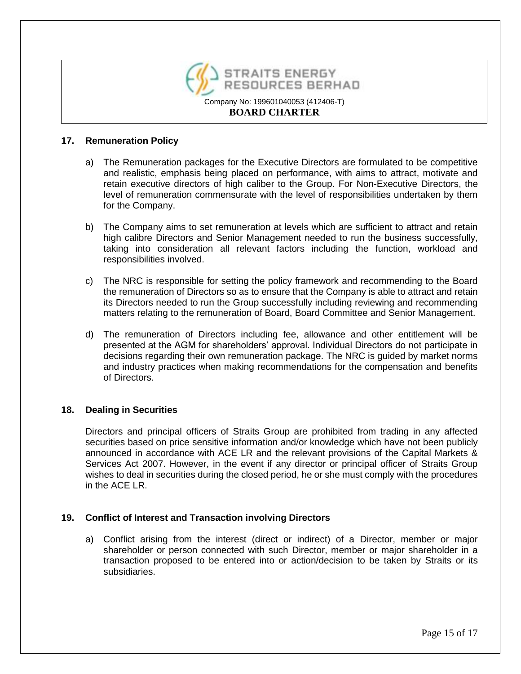

### **17. Remuneration Policy**

- a) The Remuneration packages for the Executive Directors are formulated to be competitive and realistic, emphasis being placed on performance, with aims to attract, motivate and retain executive directors of high caliber to the Group. For Non-Executive Directors, the level of remuneration commensurate with the level of responsibilities undertaken by them for the Company.
- b) The Company aims to set remuneration at levels which are sufficient to attract and retain high calibre Directors and Senior Management needed to run the business successfully, taking into consideration all relevant factors including the function, workload and responsibilities involved.
- c) The NRC is responsible for setting the policy framework and recommending to the Board the remuneration of Directors so as to ensure that the Company is able to attract and retain its Directors needed to run the Group successfully including reviewing and recommending matters relating to the remuneration of Board, Board Committee and Senior Management.
- d) The remuneration of Directors including fee, allowance and other entitlement will be presented at the AGM for shareholders' approval. Individual Directors do not participate in decisions regarding their own remuneration package. The NRC is guided by market norms and industry practices when making recommendations for the compensation and benefits of Directors.

## **18. Dealing in Securities**

Directors and principal officers of Straits Group are prohibited from trading in any affected securities based on price sensitive information and/or knowledge which have not been publicly announced in accordance with ACE LR and the relevant provisions of the Capital Markets & Services Act 2007. However, in the event if any director or principal officer of Straits Group wishes to deal in securities during the closed period, he or she must comply with the procedures in the ACE LR.

## **19. Conflict of Interest and Transaction involving Directors**

a) Conflict arising from the interest (direct or indirect) of a Director, member or major shareholder or person connected with such Director, member or major shareholder in a transaction proposed to be entered into or action/decision to be taken by Straits or its subsidiaries.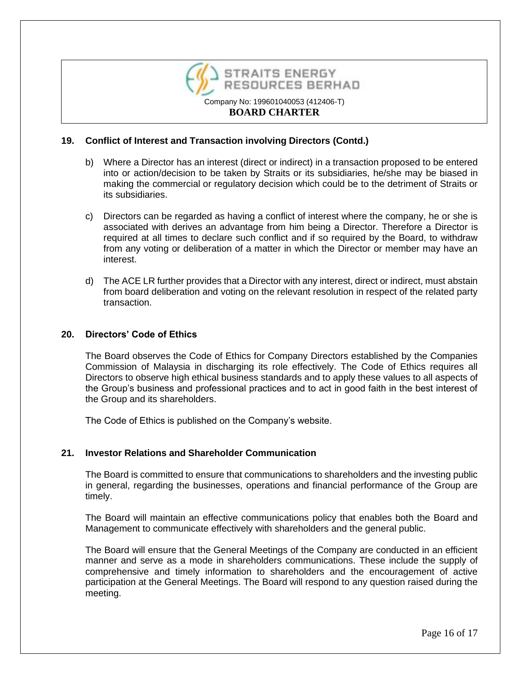

## **19. Conflict of Interest and Transaction involving Directors (Contd.)**

- b) Where a Director has an interest (direct or indirect) in a transaction proposed to be entered into or action/decision to be taken by Straits or its subsidiaries, he/she may be biased in making the commercial or regulatory decision which could be to the detriment of Straits or its subsidiaries.
- c) Directors can be regarded as having a conflict of interest where the company, he or she is associated with derives an advantage from him being a Director. Therefore a Director is required at all times to declare such conflict and if so required by the Board, to withdraw from any voting or deliberation of a matter in which the Director or member may have an interest.
- d) The ACE LR further provides that a Director with any interest, direct or indirect, must abstain from board deliberation and voting on the relevant resolution in respect of the related party transaction.

#### **20. Directors' Code of Ethics**

The Board observes the Code of Ethics for Company Directors established by the Companies Commission of Malaysia in discharging its role effectively. The Code of Ethics requires all Directors to observe high ethical business standards and to apply these values to all aspects of the Group's business and professional practices and to act in good faith in the best interest of the Group and its shareholders.

The Code of Ethics is published on the Company's website.

### **21. Investor Relations and Shareholder Communication**

The Board is committed to ensure that communications to shareholders and the investing public in general, regarding the businesses, operations and financial performance of the Group are timely.

The Board will maintain an effective communications policy that enables both the Board and Management to communicate effectively with shareholders and the general public.

The Board will ensure that the General Meetings of the Company are conducted in an efficient manner and serve as a mode in shareholders communications. These include the supply of comprehensive and timely information to shareholders and the encouragement of active participation at the General Meetings. The Board will respond to any question raised during the meeting.